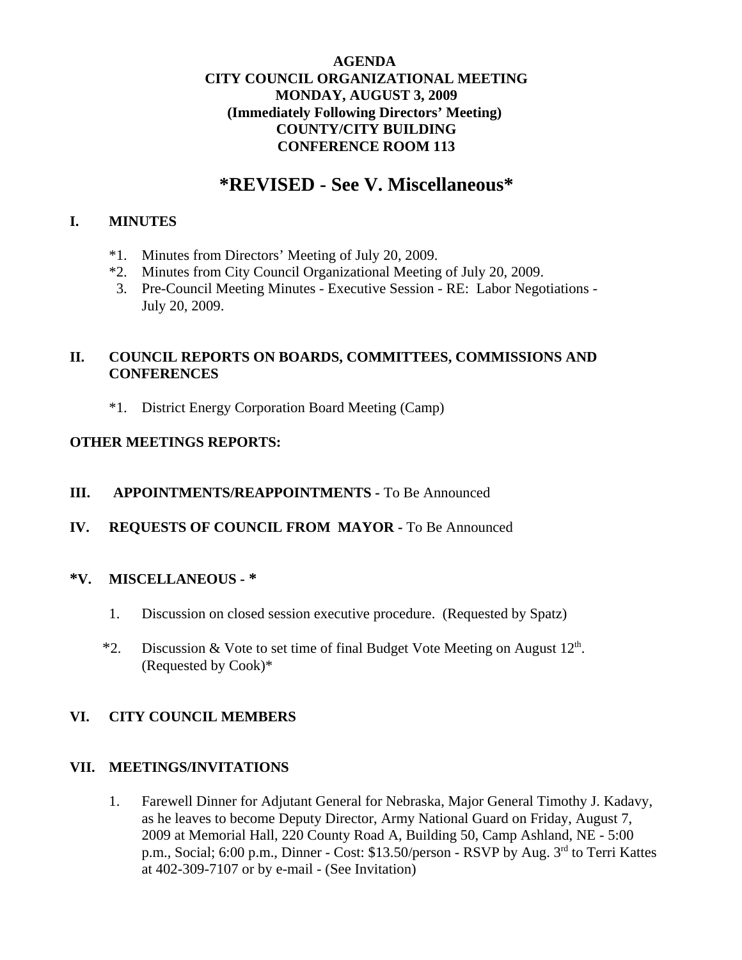#### **AGENDA CITY COUNCIL ORGANIZATIONAL MEETING MONDAY, AUGUST 3, 2009 (Immediately Following Directors' Meeting) COUNTY/CITY BUILDING CONFERENCE ROOM 113**

# **\*REVISED - See V. Miscellaneous\***

#### **I. MINUTES**

- \*1. Minutes from Directors' Meeting of July 20, 2009.
- \*2. Minutes from City Council Organizational Meeting of July 20, 2009.
- 3. Pre-Council Meeting Minutes Executive Session RE: Labor Negotiations July 20, 2009.

## **II. COUNCIL REPORTS ON BOARDS, COMMITTEES, COMMISSIONS AND CONFERENCES**

\*1. District Energy Corporation Board Meeting (Camp)

#### **OTHER MEETINGS REPORTS:**

- **III. APPOINTMENTS/REAPPOINTMENTS -** To Be Announced
- **IV. REQUESTS OF COUNCIL FROM MAYOR -** To Be Announced

### **\*V. MISCELLANEOUS - \***

- 1. Discussion on closed session executive procedure. (Requested by Spatz)
- \*2. Discussion & Vote to set time of final Budget Vote Meeting on August  $12<sup>th</sup>$ . (Requested by Cook)\*

### **VI. CITY COUNCIL MEMBERS**

#### **VII. MEETINGS/INVITATIONS**

1. Farewell Dinner for Adjutant General for Nebraska, Major General Timothy J. Kadavy, as he leaves to become Deputy Director, Army National Guard on Friday, August 7, 2009 at Memorial Hall, 220 County Road A, Building 50, Camp Ashland, NE - 5:00 p.m., Social; 6:00 p.m., Dinner - Cost: \$13.50/person - RSVP by Aug. 3rd to Terri Kattes at 402-309-7107 or by e-mail - (See Invitation)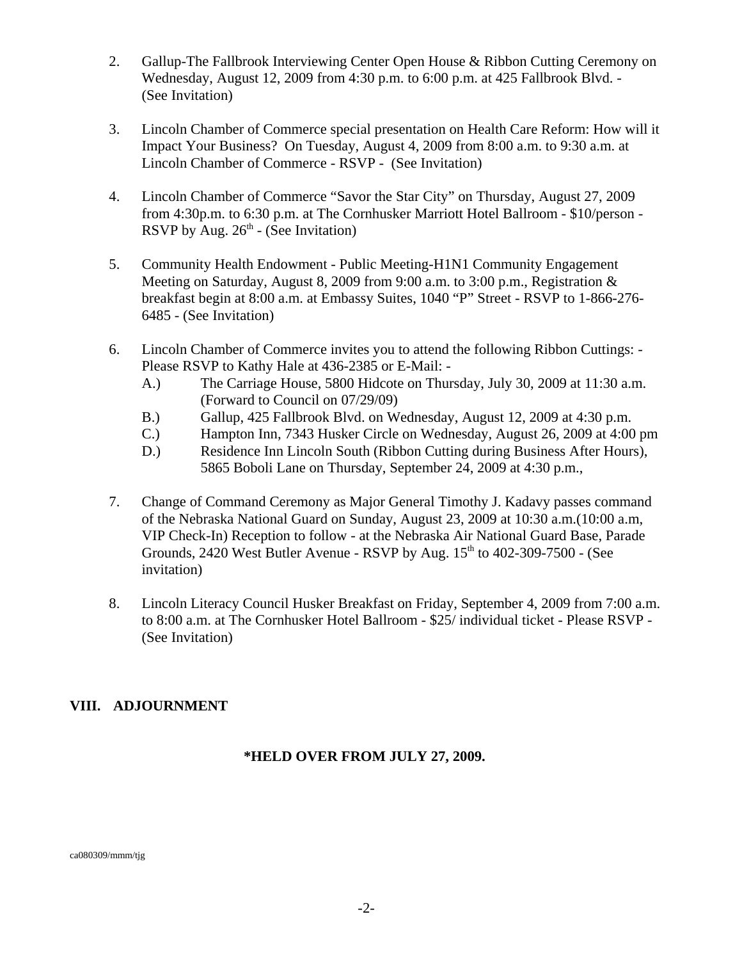- 2. Gallup-The Fallbrook Interviewing Center Open House & Ribbon Cutting Ceremony on Wednesday, August 12, 2009 from 4:30 p.m. to 6:00 p.m. at 425 Fallbrook Blvd. - (See Invitation)
- 3. Lincoln Chamber of Commerce special presentation on Health Care Reform: How will it Impact Your Business? On Tuesday, August 4, 2009 from 8:00 a.m. to 9:30 a.m. at Lincoln Chamber of Commerce - RSVP - (See Invitation)
- 4. Lincoln Chamber of Commerce "Savor the Star City" on Thursday, August 27, 2009 from 4:30p.m. to 6:30 p.m. at The Cornhusker Marriott Hotel Ballroom - \$10/person - RSVP by Aug.  $26<sup>th</sup>$  - (See Invitation)
- 5. Community Health Endowment Public Meeting-H1N1 Community Engagement Meeting on Saturday, August 8, 2009 from 9:00 a.m. to 3:00 p.m., Registration & breakfast begin at 8:00 a.m. at Embassy Suites, 1040 "P" Street - RSVP to 1-866-276- 6485 - (See Invitation)
- 6. Lincoln Chamber of Commerce invites you to attend the following Ribbon Cuttings: Please RSVP to Kathy Hale at 436-2385 or E-Mail: -
	- A.) The Carriage House, 5800 Hidcote on Thursday, July 30, 2009 at 11:30 a.m. (Forward to Council on 07/29/09)
	- B.) Gallup, 425 Fallbrook Blvd. on Wednesday, August 12, 2009 at 4:30 p.m.
	- C.) Hampton Inn, 7343 Husker Circle on Wednesday, August 26, 2009 at 4:00 pm
	- D.) Residence Inn Lincoln South (Ribbon Cutting during Business After Hours), 5865 Boboli Lane on Thursday, September 24, 2009 at 4:30 p.m.,
- 7. Change of Command Ceremony as Major General Timothy J. Kadavy passes command of the Nebraska National Guard on Sunday, August 23, 2009 at 10:30 a.m.(10:00 a.m, VIP Check-In) Reception to follow - at the Nebraska Air National Guard Base, Parade Grounds,  $2420$  West Butler Avenue - RSVP by Aug.  $15<sup>th</sup>$  to  $402-309-7500$  - (See invitation)
- 8. Lincoln Literacy Council Husker Breakfast on Friday, September 4, 2009 from 7:00 a.m. to 8:00 a.m. at The Cornhusker Hotel Ballroom - \$25/ individual ticket - Please RSVP - (See Invitation)

### **VIII. ADJOURNMENT**

### **\*HELD OVER FROM JULY 27, 2009.**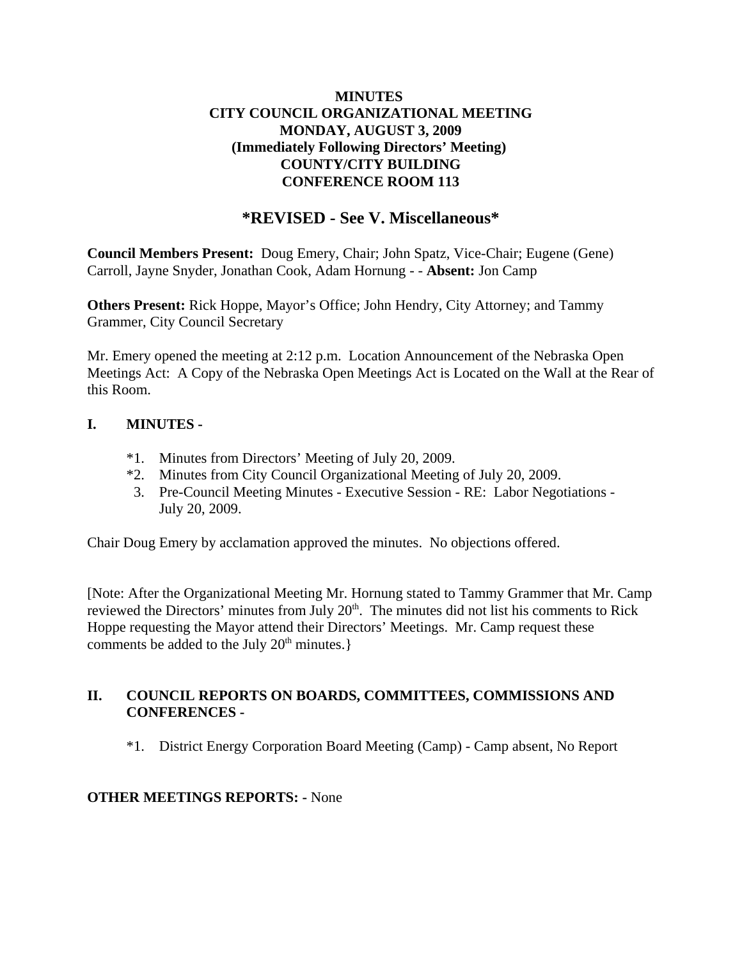### **MINUTES CITY COUNCIL ORGANIZATIONAL MEETING MONDAY, AUGUST 3, 2009 (Immediately Following Directors' Meeting) COUNTY/CITY BUILDING CONFERENCE ROOM 113**

# **\*REVISED - See V. Miscellaneous\***

**Council Members Present:** Doug Emery, Chair; John Spatz, Vice-Chair; Eugene (Gene) Carroll, Jayne Snyder, Jonathan Cook, Adam Hornung - - **Absent:** Jon Camp

**Others Present:** Rick Hoppe, Mayor's Office; John Hendry, City Attorney; and Tammy Grammer, City Council Secretary

Mr. Emery opened the meeting at 2:12 p.m. Location Announcement of the Nebraska Open Meetings Act: A Copy of the Nebraska Open Meetings Act is Located on the Wall at the Rear of this Room.

### **I. MINUTES -**

- \*1. Minutes from Directors' Meeting of July 20, 2009.
- \*2. Minutes from City Council Organizational Meeting of July 20, 2009.
- 3. Pre-Council Meeting Minutes Executive Session RE: Labor Negotiations July 20, 2009.

Chair Doug Emery by acclamation approved the minutes. No objections offered.

[Note: After the Organizational Meeting Mr. Hornung stated to Tammy Grammer that Mr. Camp reviewed the Directors' minutes from July  $20<sup>th</sup>$ . The minutes did not list his comments to Rick Hoppe requesting the Mayor attend their Directors' Meetings. Mr. Camp request these comments be added to the July  $20<sup>th</sup>$  minutes.}

### **II. COUNCIL REPORTS ON BOARDS, COMMITTEES, COMMISSIONS AND CONFERENCES -**

\*1. District Energy Corporation Board Meeting (Camp) - Camp absent, No Report

#### **OTHER MEETINGS REPORTS: -** None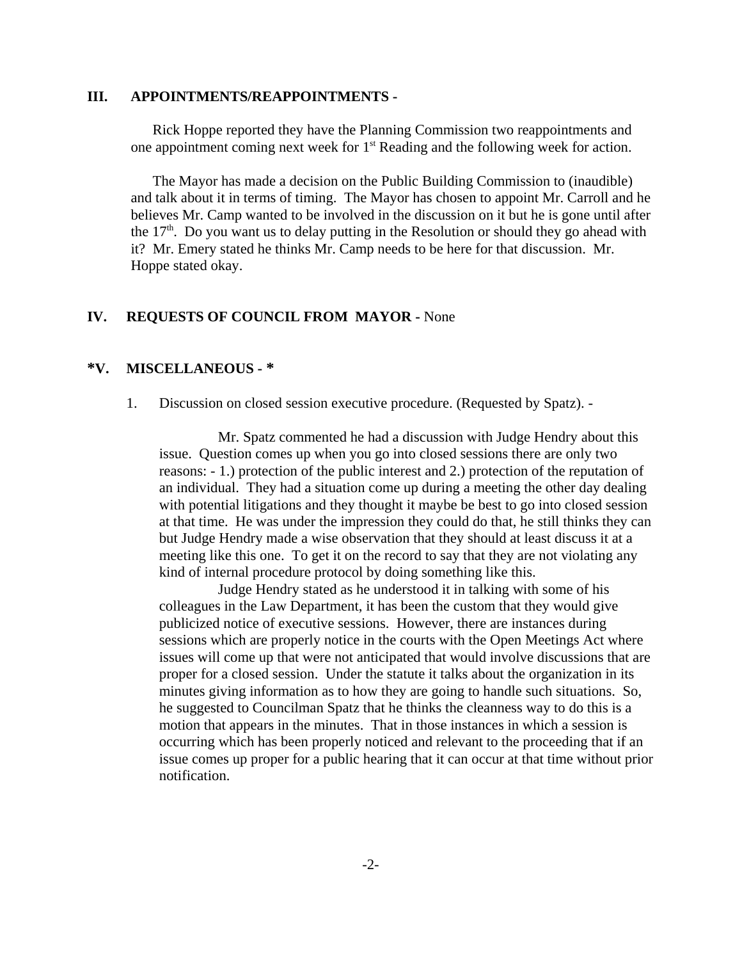#### **III. APPOINTMENTS/REAPPOINTMENTS -**

Rick Hoppe reported they have the Planning Commission two reappointments and one appointment coming next week for  $1<sup>st</sup>$  Reading and the following week for action.

The Mayor has made a decision on the Public Building Commission to (inaudible) and talk about it in terms of timing. The Mayor has chosen to appoint Mr. Carroll and he believes Mr. Camp wanted to be involved in the discussion on it but he is gone until after the  $17<sup>th</sup>$ . Do you want us to delay putting in the Resolution or should they go ahead with it? Mr. Emery stated he thinks Mr. Camp needs to be here for that discussion. Mr. Hoppe stated okay.

#### **IV. REQUESTS OF COUNCIL FROM MAYOR -** None

#### **\*V. MISCELLANEOUS - \***

1. Discussion on closed session executive procedure. (Requested by Spatz). -

Mr. Spatz commented he had a discussion with Judge Hendry about this issue. Question comes up when you go into closed sessions there are only two reasons: - 1.) protection of the public interest and 2.) protection of the reputation of an individual. They had a situation come up during a meeting the other day dealing with potential litigations and they thought it maybe be best to go into closed session at that time. He was under the impression they could do that, he still thinks they can but Judge Hendry made a wise observation that they should at least discuss it at a meeting like this one. To get it on the record to say that they are not violating any kind of internal procedure protocol by doing something like this.

Judge Hendry stated as he understood it in talking with some of his colleagues in the Law Department, it has been the custom that they would give publicized notice of executive sessions. However, there are instances during sessions which are properly notice in the courts with the Open Meetings Act where issues will come up that were not anticipated that would involve discussions that are proper for a closed session. Under the statute it talks about the organization in its minutes giving information as to how they are going to handle such situations. So, he suggested to Councilman Spatz that he thinks the cleanness way to do this is a motion that appears in the minutes. That in those instances in which a session is occurring which has been properly noticed and relevant to the proceeding that if an issue comes up proper for a public hearing that it can occur at that time without prior notification.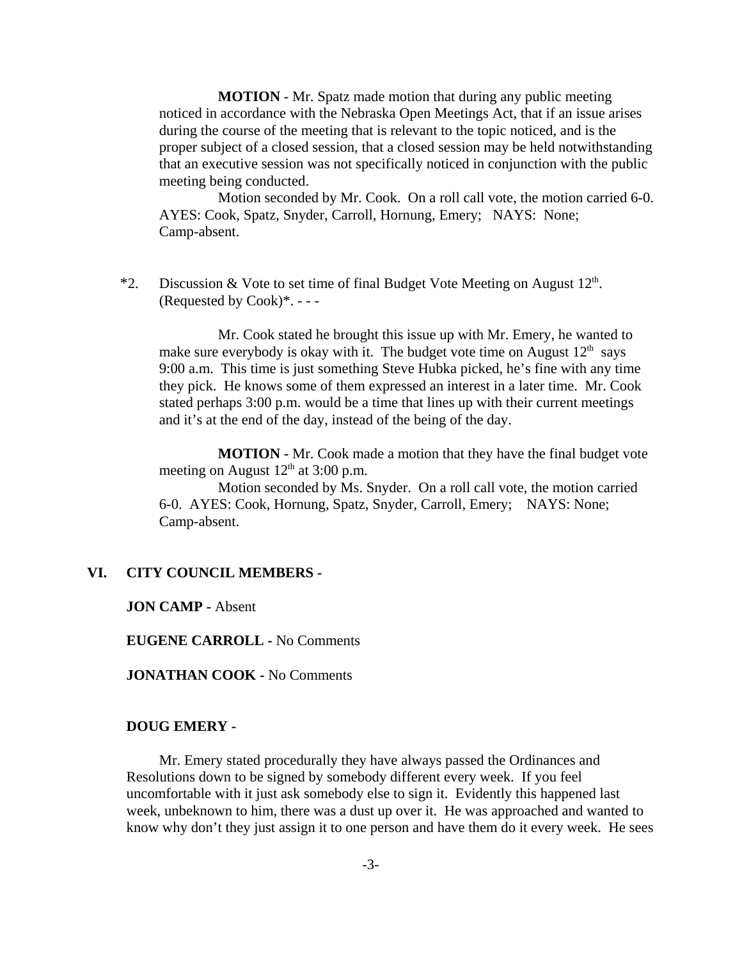**MOTION** - Mr. Spatz made motion that during any public meeting noticed in accordance with the Nebraska Open Meetings Act, that if an issue arises during the course of the meeting that is relevant to the topic noticed, and is the proper subject of a closed session, that a closed session may be held notwithstanding that an executive session was not specifically noticed in conjunction with the public meeting being conducted.

Motion seconded by Mr. Cook. On a roll call vote, the motion carried 6-0. AYES: Cook, Spatz, Snyder, Carroll, Hornung, Emery; NAYS: None; Camp-absent.

\*2. Discussion & Vote to set time of final Budget Vote Meeting on August  $12<sup>th</sup>$ . (Requested by  $Cook$ )\*. - - -

Mr. Cook stated he brought this issue up with Mr. Emery, he wanted to make sure everybody is okay with it. The budget vote time on August  $12<sup>th</sup>$  says 9:00 a.m. This time is just something Steve Hubka picked, he's fine with any time they pick. He knows some of them expressed an interest in a later time. Mr. Cook stated perhaps 3:00 p.m. would be a time that lines up with their current meetings and it's at the end of the day, instead of the being of the day.

**MOTION -** Mr. Cook made a motion that they have the final budget vote meeting on August  $12<sup>th</sup>$  at 3:00 p.m.

Motion seconded by Ms. Snyder. On a roll call vote, the motion carried 6-0. AYES: Cook, Hornung, Spatz, Snyder, Carroll, Emery; NAYS: None; Camp-absent.

#### **VI. CITY COUNCIL MEMBERS -**

**JON CAMP -** Absent

**EUGENE CARROLL -** No Comments

**JONATHAN COOK -** No Comments

#### **DOUG EMERY -**

Mr. Emery stated procedurally they have always passed the Ordinances and Resolutions down to be signed by somebody different every week. If you feel uncomfortable with it just ask somebody else to sign it. Evidently this happened last week, unbeknown to him, there was a dust up over it. He was approached and wanted to know why don't they just assign it to one person and have them do it every week. He sees